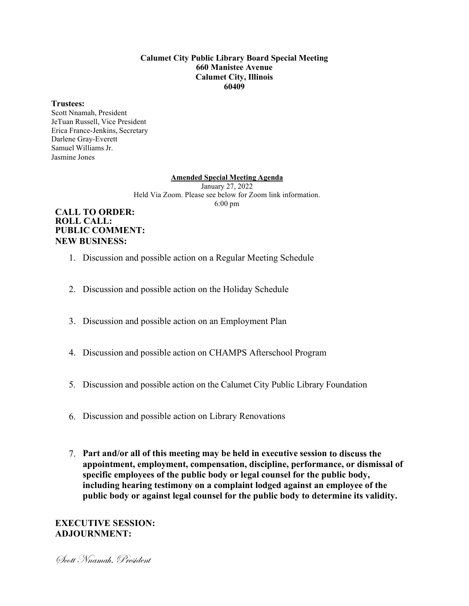#### **Calumet City Public Library Board Special Meeting 660 Manistee Avenue Calumet City, Illinois 60409**

#### **Trustees:**

Scott Nnamah, President JeTuan Russell, Vice President Erica France-Jenkins, Secretary Darlene Gray-Everett Samuel Williams Jr. Jasmine Jones

#### **Amended Special Meeting Agenda**

January 27, 2022 Held Via Zoom. Please see below for Zoom link information. 6:00 pm

## **CALL TO ORDER: ROLL CALL: PUBLIC COMMENT: NEW BUSINESS:**

- 1. Discussion and possible action on a Regular Meeting Schedule
- 2. Discussion and possible action on the Holiday Schedule
- 3. Discussion and possible action on an Employment Plan
- 4. Discussion and possible action on CHAMPS Afterschool Program
- 5. Discussion and possible action on the Calumet City Public Library Foundation
- 6. Discussion and possible action on Library Renovations
- 7. **Part and/or all of this meeting may be held in executive session to discuss the appointment, employment, compensation, discipline, performance, or dismissal of specific employees of the public body or legal counsel for the public body, including hearing testimony on a complaint lodged against an employee of the public body or against legal counsel for the public body to determine its validity.**

# **EXECUTIVE SESSION: ADJOURNMENT:**

Scott Nnamah, President